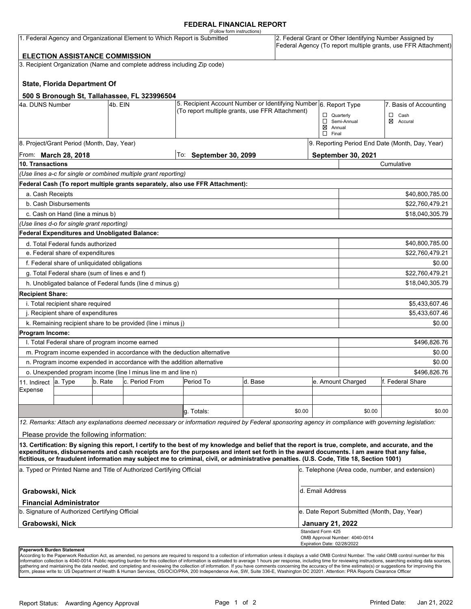## **FEDERAL FINANCIAL REPORT**

|                                                                            |                                                 |         |                                                                          | (Follow form instructions)                                                                                                                                                                                                                                                                         |                                                                  |        |                                    |                                                                                                                            |                  |  |  |
|----------------------------------------------------------------------------|-------------------------------------------------|---------|--------------------------------------------------------------------------|----------------------------------------------------------------------------------------------------------------------------------------------------------------------------------------------------------------------------------------------------------------------------------------------------|------------------------------------------------------------------|--------|------------------------------------|----------------------------------------------------------------------------------------------------------------------------|------------------|--|--|
| 1. Federal Agency and Organizational Element to Which Report is Submitted  |                                                 |         |                                                                          |                                                                                                                                                                                                                                                                                                    |                                                                  |        |                                    | 2. Federal Grant or Other Identifying Number Assigned by<br>Federal Agency (To report multiple grants, use FFR Attachment) |                  |  |  |
|                                                                            | <b>ELECTION ASSISTANCE COMMISSION</b>           |         |                                                                          |                                                                                                                                                                                                                                                                                                    |                                                                  |        |                                    |                                                                                                                            |                  |  |  |
|                                                                            |                                                 |         | 3. Recipient Organization (Name and complete address including Zip code) |                                                                                                                                                                                                                                                                                                    |                                                                  |        |                                    |                                                                                                                            |                  |  |  |
|                                                                            | <b>State, Florida Department Of</b>             |         |                                                                          |                                                                                                                                                                                                                                                                                                    |                                                                  |        |                                    |                                                                                                                            |                  |  |  |
|                                                                            |                                                 |         |                                                                          |                                                                                                                                                                                                                                                                                                    |                                                                  |        |                                    |                                                                                                                            |                  |  |  |
| 500 S Bronough St, Tallahassee, FL 323996504<br>4a. DUNS Number<br>4b. EIN |                                                 |         |                                                                          |                                                                                                                                                                                                                                                                                                    | 5. Recipient Account Number or Identifying Number 6. Report Type |        |                                    | 7. Basis of Accounting                                                                                                     |                  |  |  |
|                                                                            |                                                 |         | (To report multiple grants, use FFR Attachment)                          |                                                                                                                                                                                                                                                                                                    |                                                                  |        | □<br>Cash<br>$\Box$ Quarterly      |                                                                                                                            |                  |  |  |
|                                                                            |                                                 |         |                                                                          |                                                                                                                                                                                                                                                                                                    |                                                                  |        |                                    | Semi-Annual                                                                                                                | ⊠<br>Accural     |  |  |
|                                                                            |                                                 |         |                                                                          |                                                                                                                                                                                                                                                                                                    |                                                                  |        | $\boxtimes$ Annual<br>$\Box$ Final |                                                                                                                            |                  |  |  |
|                                                                            | 8. Project/Grant Period (Month, Day, Year)      |         |                                                                          |                                                                                                                                                                                                                                                                                                    |                                                                  |        |                                    | 9. Reporting Period End Date (Month, Day, Year)                                                                            |                  |  |  |
| From: <b>March 28, 2018</b>                                                |                                                 |         |                                                                          | To: September 30, 2099                                                                                                                                                                                                                                                                             |                                                                  |        | September 30, 2021                 |                                                                                                                            |                  |  |  |
| <b>10. Transactions</b>                                                    |                                                 |         |                                                                          |                                                                                                                                                                                                                                                                                                    |                                                                  |        |                                    | Cumulative                                                                                                                 |                  |  |  |
|                                                                            |                                                 |         | (Use lines a-c for single or combined multiple grant reporting)          |                                                                                                                                                                                                                                                                                                    |                                                                  |        |                                    |                                                                                                                            |                  |  |  |
|                                                                            |                                                 |         |                                                                          | Federal Cash (To report multiple grants separately, also use FFR Attachment):                                                                                                                                                                                                                      |                                                                  |        |                                    |                                                                                                                            |                  |  |  |
| a. Cash Receipts                                                           |                                                 |         |                                                                          |                                                                                                                                                                                                                                                                                                    |                                                                  |        |                                    |                                                                                                                            | \$40,800,785.00  |  |  |
|                                                                            | b. Cash Disbursements                           |         |                                                                          |                                                                                                                                                                                                                                                                                                    |                                                                  |        |                                    | \$22,760,479.21                                                                                                            |                  |  |  |
|                                                                            | c. Cash on Hand (line a minus b)                |         |                                                                          |                                                                                                                                                                                                                                                                                                    |                                                                  |        |                                    |                                                                                                                            | \$18,040,305.79  |  |  |
|                                                                            | (Use lines d-o for single grant reporting)      |         |                                                                          |                                                                                                                                                                                                                                                                                                    |                                                                  |        |                                    |                                                                                                                            |                  |  |  |
|                                                                            | Federal Expenditures and Unobligated Balance:   |         |                                                                          |                                                                                                                                                                                                                                                                                                    |                                                                  |        |                                    |                                                                                                                            |                  |  |  |
| d. Total Federal funds authorized                                          |                                                 |         |                                                                          |                                                                                                                                                                                                                                                                                                    |                                                                  |        |                                    | \$40,800,785.00                                                                                                            |                  |  |  |
| e. Federal share of expenditures                                           |                                                 |         |                                                                          |                                                                                                                                                                                                                                                                                                    |                                                                  |        |                                    | \$22,760,479.21                                                                                                            |                  |  |  |
| f. Federal share of unliquidated obligations                               |                                                 |         |                                                                          |                                                                                                                                                                                                                                                                                                    |                                                                  |        |                                    | \$0.00                                                                                                                     |                  |  |  |
| g. Total Federal share (sum of lines e and f)                              |                                                 |         |                                                                          |                                                                                                                                                                                                                                                                                                    |                                                                  |        |                                    |                                                                                                                            | \$22,760,479.21  |  |  |
|                                                                            |                                                 |         | h. Unobligated balance of Federal funds (line d minus g)                 |                                                                                                                                                                                                                                                                                                    |                                                                  |        |                                    |                                                                                                                            | \$18,040,305.79  |  |  |
| <b>Recipient Share:</b>                                                    |                                                 |         |                                                                          |                                                                                                                                                                                                                                                                                                    |                                                                  |        |                                    |                                                                                                                            |                  |  |  |
| i. Total recipient share required                                          |                                                 |         |                                                                          |                                                                                                                                                                                                                                                                                                    |                                                                  |        |                                    | \$5,433,607.46                                                                                                             |                  |  |  |
| j. Recipient share of expenditures                                         |                                                 |         |                                                                          |                                                                                                                                                                                                                                                                                                    |                                                                  |        |                                    | \$5,433,607.46                                                                                                             |                  |  |  |
|                                                                            |                                                 |         | k. Remaining recipient share to be provided (line i minus j)             |                                                                                                                                                                                                                                                                                                    |                                                                  |        |                                    |                                                                                                                            | \$0.00           |  |  |
| <b>Program Income:</b>                                                     |                                                 |         |                                                                          |                                                                                                                                                                                                                                                                                                    |                                                                  |        |                                    |                                                                                                                            |                  |  |  |
|                                                                            | I. Total Federal share of program income earned |         |                                                                          |                                                                                                                                                                                                                                                                                                    |                                                                  |        |                                    |                                                                                                                            | \$496,826.76     |  |  |
|                                                                            |                                                 |         |                                                                          | m. Program income expended in accordance with the deduction alternative                                                                                                                                                                                                                            |                                                                  |        |                                    | \$0.00                                                                                                                     |                  |  |  |
|                                                                            |                                                 |         | n. Program income expended in accordance with the addition alternative   |                                                                                                                                                                                                                                                                                                    |                                                                  |        |                                    | \$0.00                                                                                                                     |                  |  |  |
|                                                                            |                                                 |         | o. Unexpended program income (line I minus line m and line n)            |                                                                                                                                                                                                                                                                                                    |                                                                  |        | \$496.826.76                       |                                                                                                                            |                  |  |  |
| 11. Indirect                                                               | a. Type                                         | b. Rate | c. Period From                                                           | Period To                                                                                                                                                                                                                                                                                          | d. Base                                                          |        |                                    | e. Amount Charged                                                                                                          | f. Federal Share |  |  |
| Expense                                                                    |                                                 |         |                                                                          |                                                                                                                                                                                                                                                                                                    |                                                                  |        |                                    |                                                                                                                            |                  |  |  |
|                                                                            |                                                 |         |                                                                          |                                                                                                                                                                                                                                                                                                    |                                                                  |        |                                    |                                                                                                                            |                  |  |  |
|                                                                            |                                                 |         |                                                                          | q. Totals:                                                                                                                                                                                                                                                                                         |                                                                  | \$0.00 |                                    | \$0.00                                                                                                                     | \$0.00           |  |  |
|                                                                            |                                                 |         |                                                                          | 12. Remarks: Attach any explanations deemed necessary or information required by Federal sponsoring agency in compliance with governing legislation:                                                                                                                                               |                                                                  |        |                                    |                                                                                                                            |                  |  |  |
|                                                                            | Please provide the following information:       |         |                                                                          |                                                                                                                                                                                                                                                                                                    |                                                                  |        |                                    |                                                                                                                            |                  |  |  |
|                                                                            |                                                 |         |                                                                          | 13. Certification: By signing this report, I certify to the best of my knowledge and belief that the report is true, complete, and accurate, and the<br>expenditures, disbursements and cash receipts are for the purposes and intent set forth in the award documents. I am aware that any false, |                                                                  |        |                                    |                                                                                                                            |                  |  |  |
|                                                                            |                                                 |         |                                                                          | fictitious, or fraudulent information may subject me to criminal, civil, or administrative penalties. (U.S. Code, Title 18, Section 1001)                                                                                                                                                          |                                                                  |        |                                    |                                                                                                                            |                  |  |  |
| a. Typed or Printed Name and Title of Authorized Certifying Official       |                                                 |         |                                                                          |                                                                                                                                                                                                                                                                                                    |                                                                  |        |                                    | c. Telephone (Area code, number, and extension)                                                                            |                  |  |  |
| Grabowski, Nick                                                            |                                                 |         |                                                                          |                                                                                                                                                                                                                                                                                                    |                                                                  |        |                                    | d. Email Address                                                                                                           |                  |  |  |
|                                                                            | <b>Financial Administrator</b>                  |         |                                                                          |                                                                                                                                                                                                                                                                                                    |                                                                  |        |                                    |                                                                                                                            |                  |  |  |
| b. Signature of Authorized Certifying Official                             |                                                 |         |                                                                          |                                                                                                                                                                                                                                                                                                    |                                                                  |        |                                    | e. Date Report Submitted (Month, Day, Year)                                                                                |                  |  |  |
| Grabowski, Nick<br>Standard Form 425                                       |                                                 |         |                                                                          |                                                                                                                                                                                                                                                                                                    |                                                                  |        |                                    | <b>January 21, 2022</b>                                                                                                    |                  |  |  |
|                                                                            |                                                 |         |                                                                          |                                                                                                                                                                                                                                                                                                    |                                                                  |        | Expiration Date: 02/28/2022        | OMB Approval Number: 4040-0014                                                                                             |                  |  |  |
| Paperwork Burden Statement                                                 |                                                 |         |                                                                          |                                                                                                                                                                                                                                                                                                    |                                                                  |        |                                    |                                                                                                                            |                  |  |  |

According to the Paperwork Reduction Act, as amended, no persons are required to respond to a collection of information unless it displays a valid OMB Control Number. The valid OMB control number for this<br>information colle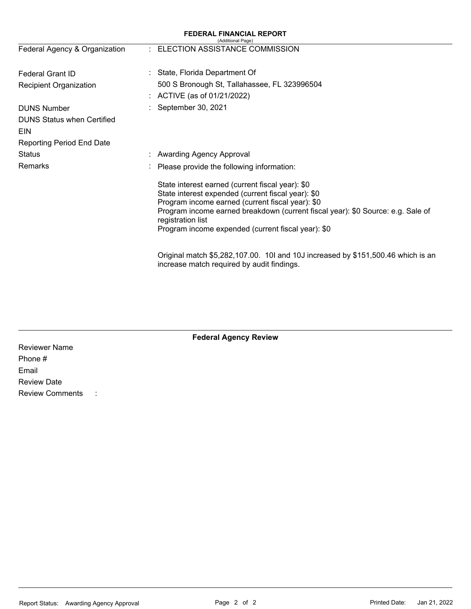| <b>FEDERAL FINANCIAL REPORT</b><br>(Additional Page) |  |                                                                                                                                                                                                                                                                                                                          |  |  |  |  |
|------------------------------------------------------|--|--------------------------------------------------------------------------------------------------------------------------------------------------------------------------------------------------------------------------------------------------------------------------------------------------------------------------|--|--|--|--|
| Federal Agency & Organization                        |  | : ELECTION ASSISTANCE COMMISSION                                                                                                                                                                                                                                                                                         |  |  |  |  |
| <b>Federal Grant ID</b>                              |  | State, Florida Department Of                                                                                                                                                                                                                                                                                             |  |  |  |  |
| Recipient Organization                               |  | 500 S Bronough St, Tallahassee, FL 323996504                                                                                                                                                                                                                                                                             |  |  |  |  |
|                                                      |  | ACTIVE (as of 01/21/2022)                                                                                                                                                                                                                                                                                                |  |  |  |  |
| <b>DUNS Number</b>                                   |  | September 30, 2021                                                                                                                                                                                                                                                                                                       |  |  |  |  |
| <b>DUNS Status when Certified</b>                    |  |                                                                                                                                                                                                                                                                                                                          |  |  |  |  |
| EIN                                                  |  |                                                                                                                                                                                                                                                                                                                          |  |  |  |  |
| <b>Reporting Period End Date</b>                     |  |                                                                                                                                                                                                                                                                                                                          |  |  |  |  |
| <b>Status</b>                                        |  | <b>Awarding Agency Approval</b>                                                                                                                                                                                                                                                                                          |  |  |  |  |
| Remarks                                              |  | Please provide the following information:                                                                                                                                                                                                                                                                                |  |  |  |  |
|                                                      |  | State interest earned (current fiscal year): \$0<br>State interest expended (current fiscal year): \$0<br>Program income earned (current fiscal year): \$0<br>Program income earned breakdown (current fiscal year): \$0 Source: e.g. Sale of<br>registration list<br>Program income expended (current fiscal year): \$0 |  |  |  |  |
|                                                      |  | Original match \$5,282,107.00. 10I and 10J increased by \$151,500.46 which is an<br>increase match required by audit findings.                                                                                                                                                                                           |  |  |  |  |

Reviewer Name Phone # Email Review Date Review Comments :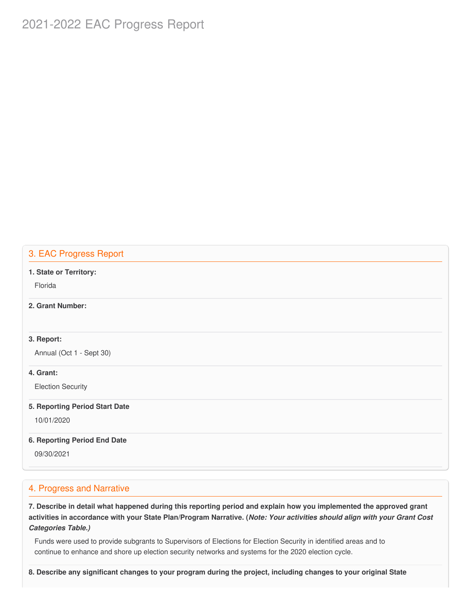# 2021-2022 EAC Progress Report

## 3. EAC Progress Report

#### **1. State or Territory:**

Florida

## **2. Grant Number:**

## **3. Report:**

Annual (Oct 1 - Sept 30)

## **4. Grant:**

Election Security

#### **5. Reporting Period Start Date**

10/01/2020

#### **6. Reporting Period End Date**

09/30/2021

## 4. Progress and Narrative

7. Describe in detail what happened during this reporting period and explain how you implemented the approved grant activities in accordance with your State Plan/Program Narrative. (*Note: Your activities should align with your Grant Cost Categories Table.)*

 Funds were used to provide subgrants to Supervisors of Elections for Election Security in identified areas and to continue to enhance and shore up election security networks and systems for the 2020 election cycle.

8. Describe any significant changes to your program during the project, including changes to your original State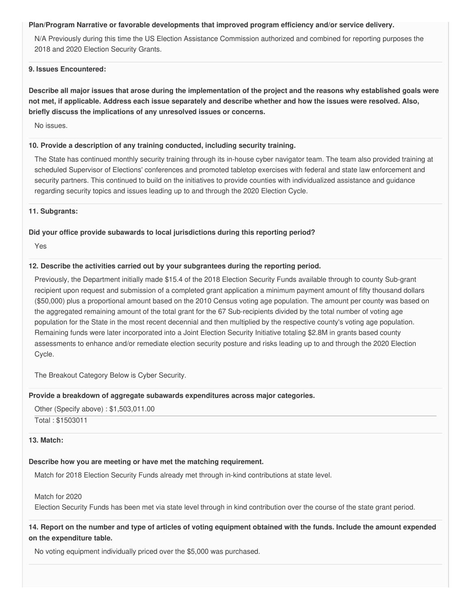#### **Plan/Program Narrative or favorable developments that improved program efficiency and/or service delivery.**

 N/A Previously during this time the US Election Assistance Commission authorized and combined for reporting purposes the 2018 and 2020 Election Security Grants.

#### **9. Issues Encountered:**

Describe all major issues that arose during the implementation of the project and the reasons why established goals were not met, if applicable. Address each issue separately and describe whether and how the issues were resolved. Also,  **briefly discuss the implications of any unresolved issues or concerns.**

No issues.

## **10. Provide a description of any training conducted, including security training.**

 The State has continued monthly security training through its in-house cyber navigator team. The team also provided training at scheduled Supervisor of Elections' conferences and promoted tabletop exercises with federal and state law enforcement and security partners. This continued to build on the initiatives to provide counties with individualized assistance and guidance regarding security topics and issues leading up to and through the 2020 Election Cycle.

#### **11. Subgrants:**

## **Did your office provide subawards to local jurisdictions during this reporting period?**

Yes

## **12. Describe the activities carried out by your subgrantees during the reporting period.**

 Previously, the Department initially made \$15.4 of the 2018 Election Security Funds available through to county Sub-grant recipient upon request and submission of a completed grant application a minimum payment amount of fifty thousand dollars (\$50,000) plus a proportional amount based on the 2010 Census voting age population. The amount per county was based on the aggregated remaining amount of the total grant for the 67 Sub-recipients divided by the total number of voting age population for the State in the most recent decennial and then multiplied by the respective county's voting age population. Remaining funds were later incorporated into a Joint Election Security Initiative totaling \$2.8M in grants based county assessments to enhance and/or remediate election security posture and risks leading up to and through the 2020 Election Cycle.

The Breakout Category Below is Cyber Security.

## **Provide a breakdown of aggregate subawards expenditures across major categories.**

 Other (Specify above) : [\\$1,503,011.00](https://1,503,011.00) Total : \$1503011

## **13. Match:**

## **Describe how you are meeting or have met the matching requirement.**

Match for 2018 Election Security Funds already met through in-kind contributions at state level.

Match for 2020

Election Security Funds has been met via state level through in kind contribution over the course of the state grant period.

14. Report on the number and type of articles of voting equipment obtained with the funds. Include the amount expended  **on the expenditure table.**

No voting equipment individually priced over the \$5,000 was purchased.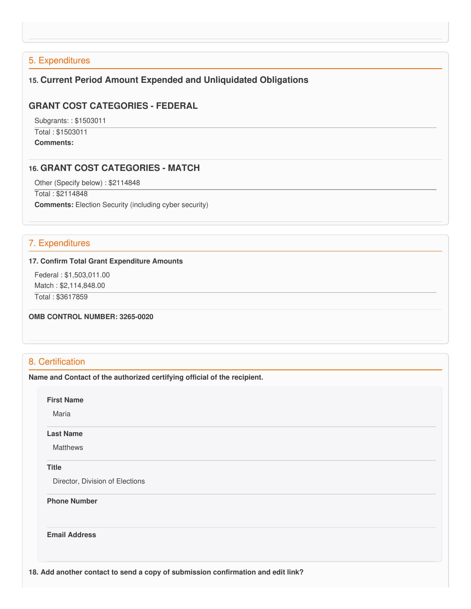## 5. Expenditures

## **15. Current Period Amount Expended and Unliquidated Obligations**

## **GRANT COST CATEGORIES - FEDERAL**

 Subgrants: : \$1503011 Total : \$1503011 **Comments:**

## **16. GRANT COST CATEGORIES - MATCH**

Other (Specify below) : \$2114848

 Total : \$2114848 **Comments:** Election Security (including cyber security)

## 7. Expenditures

#### **17. Confirm Total Grant Expenditure Amounts**

 Federal : \$[1,503,011.00](https://1,503,011.00) Match : \$[2,114,848.00](https://2,114,848.00)

Total : \$3617859

 **OMB CONTROL NUMBER: 3265-0020**

## 8. Certification

 **Name and Contact of the authorized certifying official of the recipient.**

**First Name**

Maria

#### **Last Name**

Matthews

#### **Title**

Director, Division of Elections

#### **Phone Number**

**Email Address**

 **18. Add another contact to send a copy of submission confirmation and edit link?**